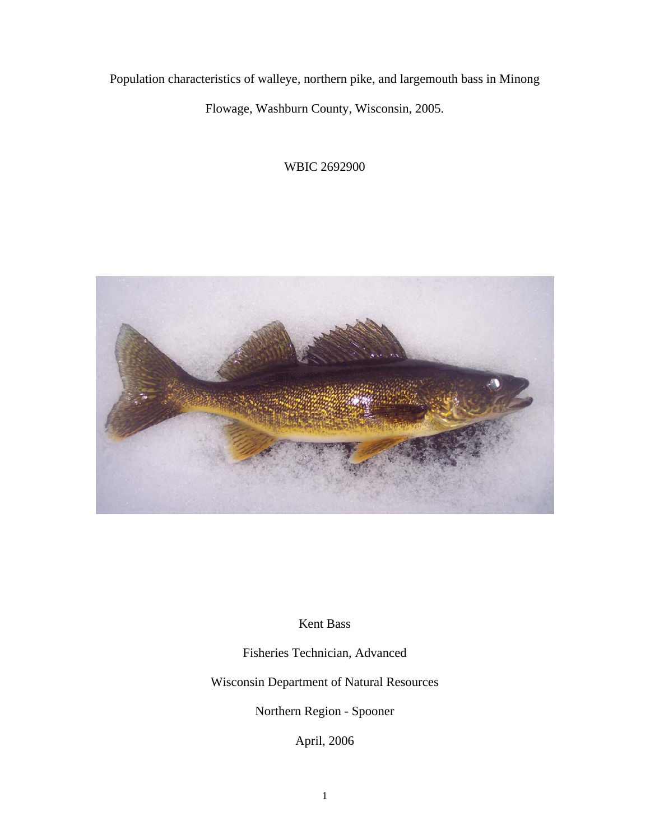Population characteristics of walleye, northern pike, and largemouth bass in Minong

Flowage, Washburn County, Wisconsin, 2005.

WBIC 2692900



Kent Bass

Fisheries Technician, Advanced

Wisconsin Department of Natural Resources

Northern Region - Spooner

April, 2006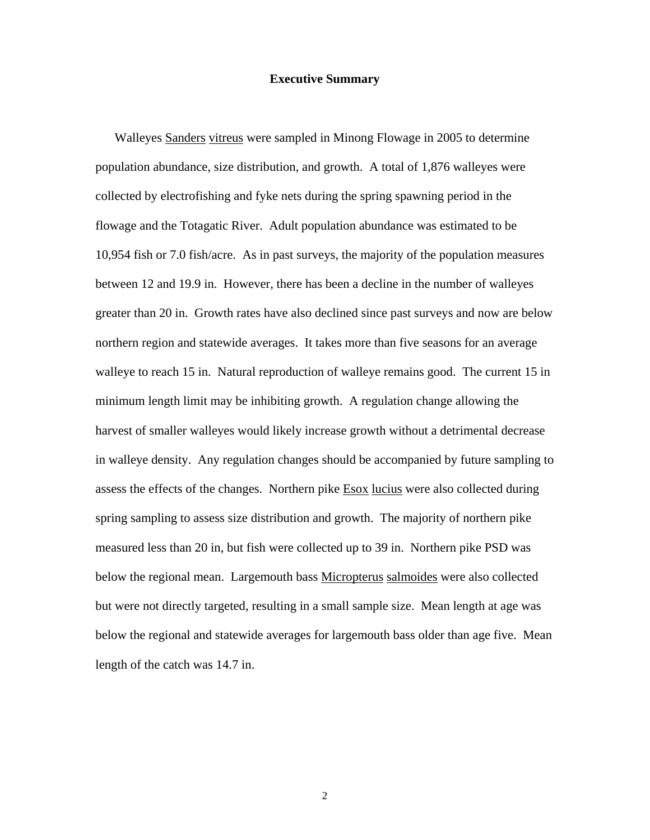## **Executive Summary**

 Walleyes Sanders vitreus were sampled in Minong Flowage in 2005 to determine population abundance, size distribution, and growth. A total of 1,876 walleyes were collected by electrofishing and fyke nets during the spring spawning period in the flowage and the Totagatic River. Adult population abundance was estimated to be 10,954 fish or 7.0 fish/acre. As in past surveys, the majority of the population measures between 12 and 19.9 in. However, there has been a decline in the number of walleyes greater than 20 in. Growth rates have also declined since past surveys and now are below northern region and statewide averages. It takes more than five seasons for an average walleye to reach 15 in. Natural reproduction of walleye remains good. The current 15 in minimum length limit may be inhibiting growth. A regulation change allowing the harvest of smaller walleyes would likely increase growth without a detrimental decrease in walleye density. Any regulation changes should be accompanied by future sampling to assess the effects of the changes. Northern pike **Esox** lucius were also collected during spring sampling to assess size distribution and growth. The majority of northern pike measured less than 20 in, but fish were collected up to 39 in. Northern pike PSD was below the regional mean. Largemouth bass Micropterus salmoides were also collected but were not directly targeted, resulting in a small sample size. Mean length at age was below the regional and statewide averages for largemouth bass older than age five. Mean length of the catch was 14.7 in.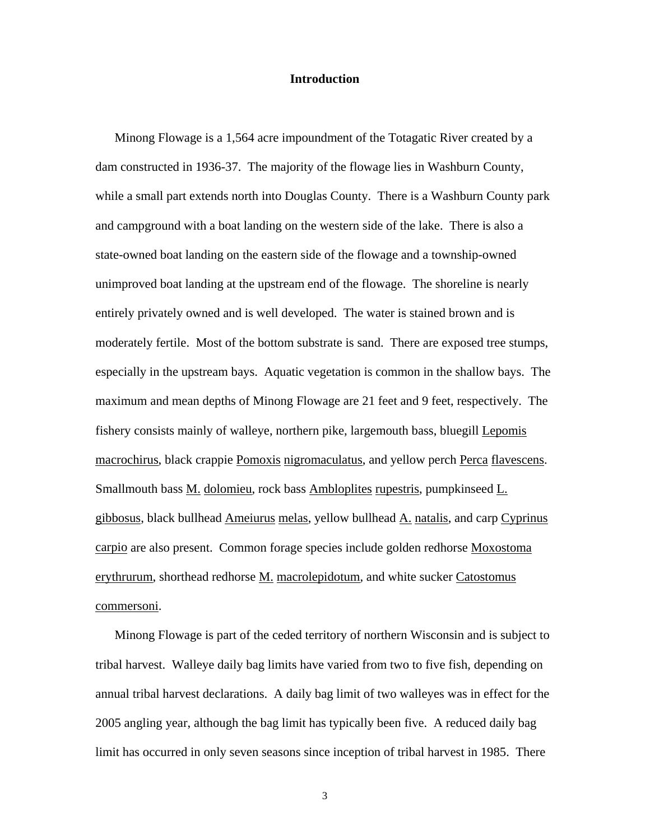# **Introduction**

 Minong Flowage is a 1,564 acre impoundment of the Totagatic River created by a dam constructed in 1936-37. The majority of the flowage lies in Washburn County, while a small part extends north into Douglas County. There is a Washburn County park and campground with a boat landing on the western side of the lake. There is also a state-owned boat landing on the eastern side of the flowage and a township-owned unimproved boat landing at the upstream end of the flowage. The shoreline is nearly entirely privately owned and is well developed. The water is stained brown and is moderately fertile. Most of the bottom substrate is sand. There are exposed tree stumps, especially in the upstream bays. Aquatic vegetation is common in the shallow bays. The maximum and mean depths of Minong Flowage are 21 feet and 9 feet, respectively. The fishery consists mainly of walleye, northern pike, largemouth bass, bluegill Lepomis macrochirus, black crappie Pomoxis nigromaculatus, and yellow perch Perca flavescens. Smallmouth bass M. dolomieu, rock bass Ambloplites rupestris, pumpkinseed L. gibbosus, black bullhead Ameiurus melas, yellow bullhead A. natalis, and carp Cyprinus carpio are also present. Common forage species include golden redhorse Moxostoma erythrurum, shorthead redhorse M. macrolepidotum, and white sucker Catostomus commersoni.

 Minong Flowage is part of the ceded territory of northern Wisconsin and is subject to tribal harvest. Walleye daily bag limits have varied from two to five fish, depending on annual tribal harvest declarations. A daily bag limit of two walleyes was in effect for the 2005 angling year, although the bag limit has typically been five. A reduced daily bag limit has occurred in only seven seasons since inception of tribal harvest in 1985. There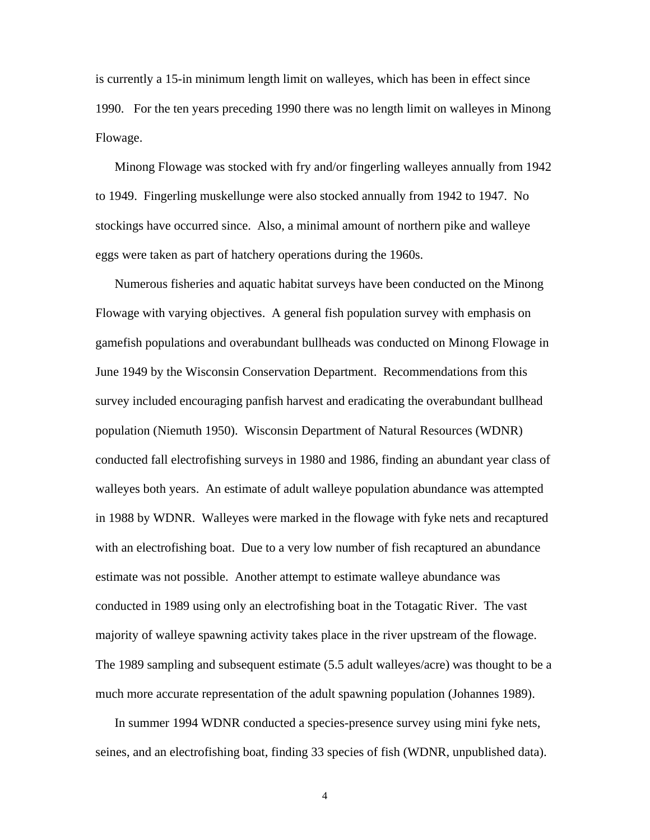is currently a 15-in minimum length limit on walleyes, which has been in effect since 1990. For the ten years preceding 1990 there was no length limit on walleyes in Minong Flowage.

 Minong Flowage was stocked with fry and/or fingerling walleyes annually from 1942 to 1949. Fingerling muskellunge were also stocked annually from 1942 to 1947. No stockings have occurred since. Also, a minimal amount of northern pike and walleye eggs were taken as part of hatchery operations during the 1960s.

 Numerous fisheries and aquatic habitat surveys have been conducted on the Minong Flowage with varying objectives. A general fish population survey with emphasis on gamefish populations and overabundant bullheads was conducted on Minong Flowage in June 1949 by the Wisconsin Conservation Department. Recommendations from this survey included encouraging panfish harvest and eradicating the overabundant bullhead population (Niemuth 1950). Wisconsin Department of Natural Resources (WDNR) conducted fall electrofishing surveys in 1980 and 1986, finding an abundant year class of walleyes both years. An estimate of adult walleye population abundance was attempted in 1988 by WDNR. Walleyes were marked in the flowage with fyke nets and recaptured with an electrofishing boat. Due to a very low number of fish recaptured an abundance estimate was not possible. Another attempt to estimate walleye abundance was conducted in 1989 using only an electrofishing boat in the Totagatic River. The vast majority of walleye spawning activity takes place in the river upstream of the flowage. The 1989 sampling and subsequent estimate (5.5 adult walleyes/acre) was thought to be a much more accurate representation of the adult spawning population (Johannes 1989).

 In summer 1994 WDNR conducted a species-presence survey using mini fyke nets, seines, and an electrofishing boat, finding 33 species of fish (WDNR, unpublished data).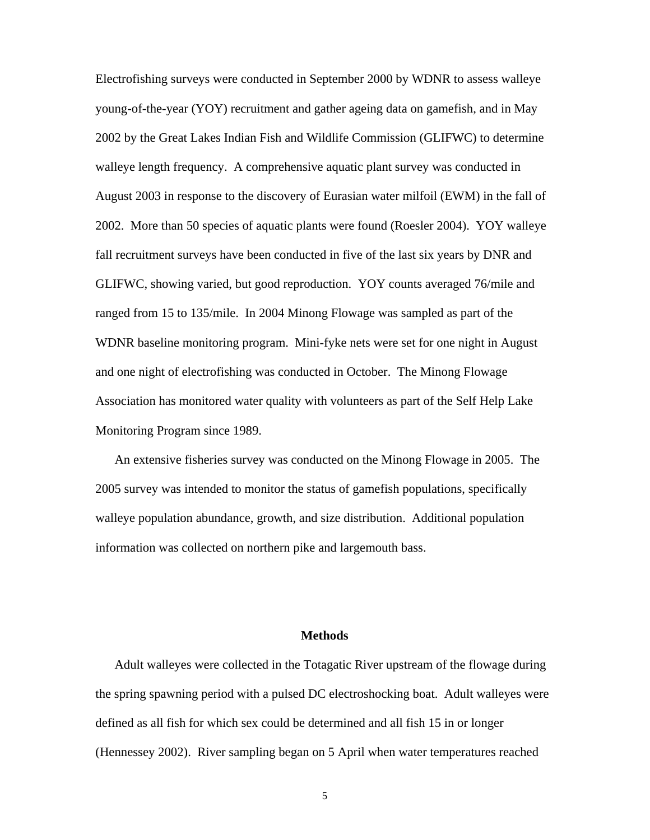Electrofishing surveys were conducted in September 2000 by WDNR to assess walleye young-of-the-year (YOY) recruitment and gather ageing data on gamefish, and in May 2002 by the Great Lakes Indian Fish and Wildlife Commission (GLIFWC) to determine walleye length frequency. A comprehensive aquatic plant survey was conducted in August 2003 in response to the discovery of Eurasian water milfoil (EWM) in the fall of 2002. More than 50 species of aquatic plants were found (Roesler 2004). YOY walleye fall recruitment surveys have been conducted in five of the last six years by DNR and GLIFWC, showing varied, but good reproduction. YOY counts averaged 76/mile and ranged from 15 to 135/mile. In 2004 Minong Flowage was sampled as part of the WDNR baseline monitoring program. Mini-fyke nets were set for one night in August and one night of electrofishing was conducted in October. The Minong Flowage Association has monitored water quality with volunteers as part of the Self Help Lake Monitoring Program since 1989.

 An extensive fisheries survey was conducted on the Minong Flowage in 2005. The 2005 survey was intended to monitor the status of gamefish populations, specifically walleye population abundance, growth, and size distribution. Additional population information was collected on northern pike and largemouth bass.

# **Methods**

 Adult walleyes were collected in the Totagatic River upstream of the flowage during the spring spawning period with a pulsed DC electroshocking boat. Adult walleyes were defined as all fish for which sex could be determined and all fish 15 in or longer (Hennessey 2002). River sampling began on 5 April when water temperatures reached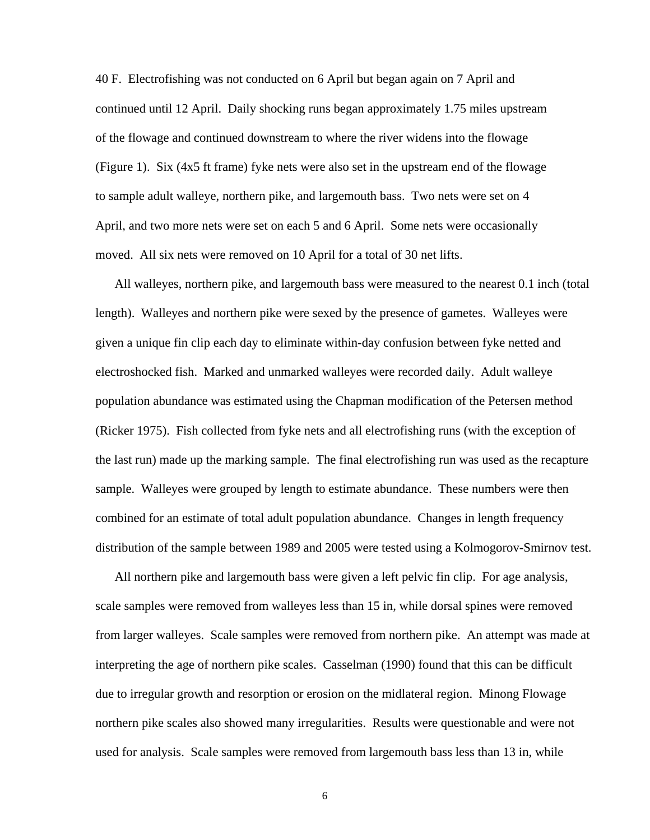40 F. Electrofishing was not conducted on 6 April but began again on 7 April and continued until 12 April. Daily shocking runs began approximately 1.75 miles upstream of the flowage and continued downstream to where the river widens into the flowage (Figure 1). Six (4x5 ft frame) fyke nets were also set in the upstream end of the flowage to sample adult walleye, northern pike, and largemouth bass. Two nets were set on 4 April, and two more nets were set on each 5 and 6 April. Some nets were occasionally moved. All six nets were removed on 10 April for a total of 30 net lifts.

 All walleyes, northern pike, and largemouth bass were measured to the nearest 0.1 inch (total length). Walleyes and northern pike were sexed by the presence of gametes. Walleyes were given a unique fin clip each day to eliminate within-day confusion between fyke netted and electroshocked fish. Marked and unmarked walleyes were recorded daily. Adult walleye population abundance was estimated using the Chapman modification of the Petersen method (Ricker 1975). Fish collected from fyke nets and all electrofishing runs (with the exception of the last run) made up the marking sample. The final electrofishing run was used as the recapture sample. Walleyes were grouped by length to estimate abundance. These numbers were then combined for an estimate of total adult population abundance. Changes in length frequency distribution of the sample between 1989 and 2005 were tested using a Kolmogorov-Smirnov test.

 All northern pike and largemouth bass were given a left pelvic fin clip. For age analysis, scale samples were removed from walleyes less than 15 in, while dorsal spines were removed from larger walleyes. Scale samples were removed from northern pike. An attempt was made at interpreting the age of northern pike scales. Casselman (1990) found that this can be difficult due to irregular growth and resorption or erosion on the midlateral region. Minong Flowage northern pike scales also showed many irregularities. Results were questionable and were not used for analysis. Scale samples were removed from largemouth bass less than 13 in, while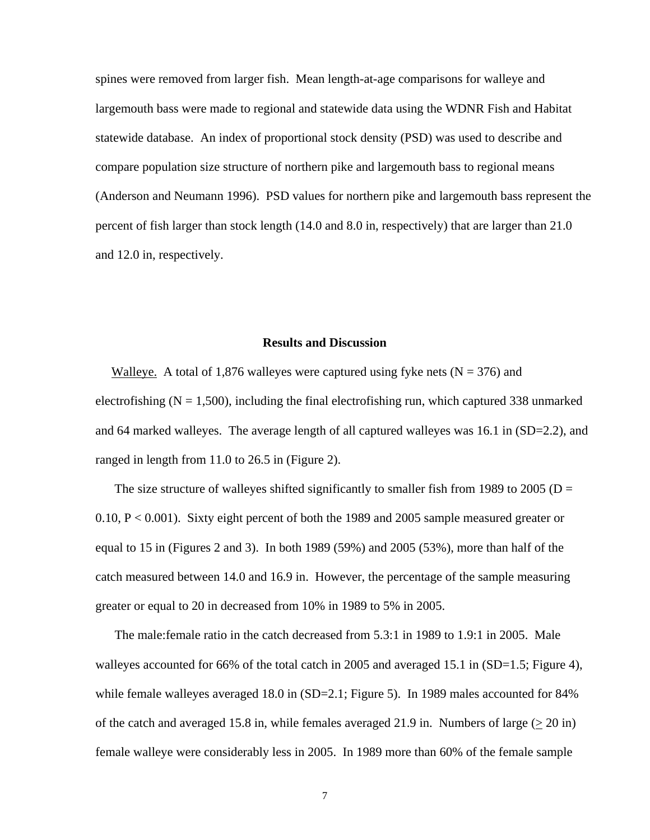spines were removed from larger fish. Mean length-at-age comparisons for walleye and largemouth bass were made to regional and statewide data using the WDNR Fish and Habitat statewide database. An index of proportional stock density (PSD) was used to describe and compare population size structure of northern pike and largemouth bass to regional means (Anderson and Neumann 1996). PSD values for northern pike and largemouth bass represent the percent of fish larger than stock length (14.0 and 8.0 in, respectively) that are larger than 21.0 and 12.0 in, respectively.

### **Results and Discussion**

Walleye. A total of 1,876 walleyes were captured using fyke nets ( $N = 376$ ) and electrofishing ( $N = 1,500$ ), including the final electrofishing run, which captured 338 unmarked and 64 marked walleyes. The average length of all captured walleyes was 16.1 in (SD=2.2), and ranged in length from 11.0 to 26.5 in (Figure 2).

The size structure of walleyes shifted significantly to smaller fish from 1989 to 2005 ( $D =$ 0.10, P < 0.001). Sixty eight percent of both the 1989 and 2005 sample measured greater or equal to 15 in (Figures 2 and 3). In both 1989 (59%) and 2005 (53%), more than half of the catch measured between 14.0 and 16.9 in. However, the percentage of the sample measuring greater or equal to 20 in decreased from 10% in 1989 to 5% in 2005.

 The male:female ratio in the catch decreased from 5.3:1 in 1989 to 1.9:1 in 2005. Male walleyes accounted for 66% of the total catch in 2005 and averaged 15.1 in (SD=1.5; Figure 4), while female walleyes averaged 18.0 in (SD=2.1; Figure 5). In 1989 males accounted for 84% of the catch and averaged 15.8 in, while females averaged 21.9 in. Numbers of large  $(> 20 \text{ in})$ female walleye were considerably less in 2005. In 1989 more than 60% of the female sample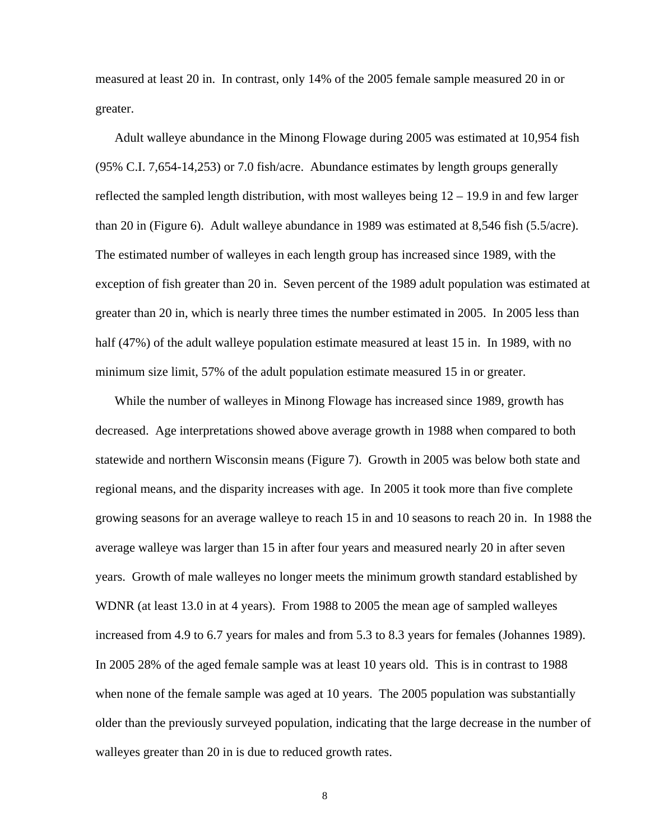measured at least 20 in. In contrast, only 14% of the 2005 female sample measured 20 in or greater.

 Adult walleye abundance in the Minong Flowage during 2005 was estimated at 10,954 fish (95% C.I. 7,654-14,253) or 7.0 fish/acre. Abundance estimates by length groups generally reflected the sampled length distribution, with most walleyes being 12 – 19.9 in and few larger than 20 in (Figure 6). Adult walleye abundance in 1989 was estimated at 8,546 fish (5.5/acre). The estimated number of walleyes in each length group has increased since 1989, with the exception of fish greater than 20 in. Seven percent of the 1989 adult population was estimated at greater than 20 in, which is nearly three times the number estimated in 2005. In 2005 less than half (47%) of the adult walleye population estimate measured at least 15 in. In 1989, with no minimum size limit, 57% of the adult population estimate measured 15 in or greater.

 While the number of walleyes in Minong Flowage has increased since 1989, growth has decreased. Age interpretations showed above average growth in 1988 when compared to both statewide and northern Wisconsin means (Figure 7). Growth in 2005 was below both state and regional means, and the disparity increases with age. In 2005 it took more than five complete growing seasons for an average walleye to reach 15 in and 10 seasons to reach 20 in. In 1988 the average walleye was larger than 15 in after four years and measured nearly 20 in after seven years. Growth of male walleyes no longer meets the minimum growth standard established by WDNR (at least 13.0 in at 4 years). From 1988 to 2005 the mean age of sampled walleyes increased from 4.9 to 6.7 years for males and from 5.3 to 8.3 years for females (Johannes 1989). In 2005 28% of the aged female sample was at least 10 years old. This is in contrast to 1988 when none of the female sample was aged at 10 years. The 2005 population was substantially older than the previously surveyed population, indicating that the large decrease in the number of walleyes greater than 20 in is due to reduced growth rates.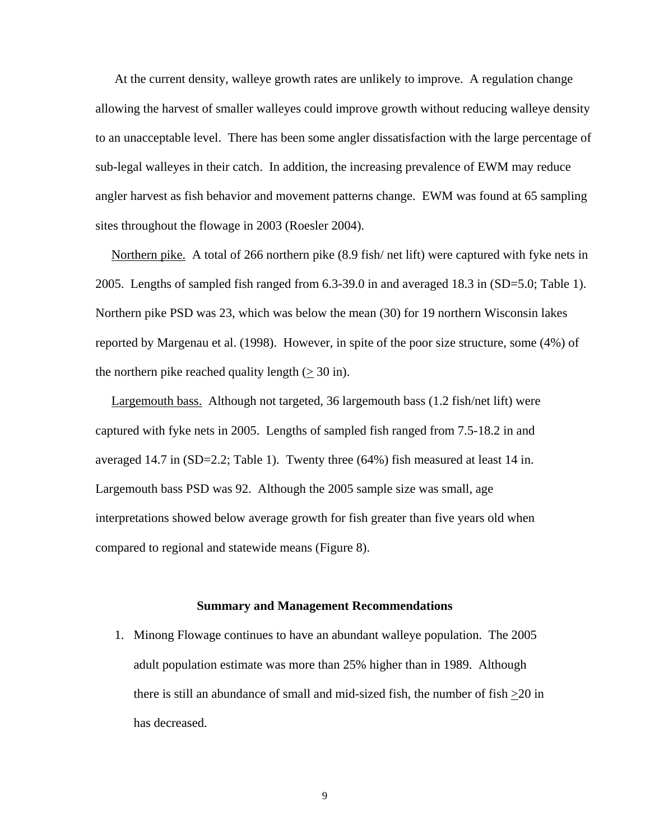At the current density, walleye growth rates are unlikely to improve. A regulation change allowing the harvest of smaller walleyes could improve growth without reducing walleye density to an unacceptable level. There has been some angler dissatisfaction with the large percentage of sub-legal walleyes in their catch. In addition, the increasing prevalence of EWM may reduce angler harvest as fish behavior and movement patterns change. EWM was found at 65 sampling sites throughout the flowage in 2003 (Roesler 2004).

 Northern pike. A total of 266 northern pike (8.9 fish/ net lift) were captured with fyke nets in 2005. Lengths of sampled fish ranged from 6.3-39.0 in and averaged 18.3 in (SD=5.0; Table 1). Northern pike PSD was 23, which was below the mean (30) for 19 northern Wisconsin lakes reported by Margenau et al. (1998). However, in spite of the poor size structure, some (4%) of the northern pike reached quality length  $(> 30 \text{ in})$ .

 Largemouth bass. Although not targeted, 36 largemouth bass (1.2 fish/net lift) were captured with fyke nets in 2005. Lengths of sampled fish ranged from 7.5-18.2 in and averaged 14.7 in (SD=2.2; Table 1). Twenty three (64%) fish measured at least 14 in. Largemouth bass PSD was 92. Although the 2005 sample size was small, age interpretations showed below average growth for fish greater than five years old when compared to regional and statewide means (Figure 8).

#### **Summary and Management Recommendations**

1. Minong Flowage continues to have an abundant walleye population. The 2005 adult population estimate was more than 25% higher than in 1989. Although there is still an abundance of small and mid-sized fish, the number of fish >20 in has decreased.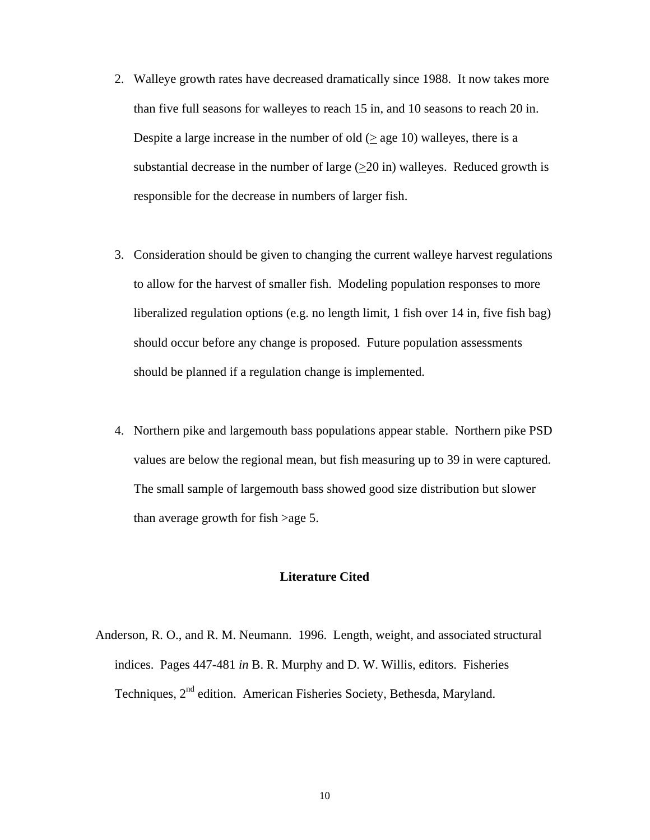- 2. Walleye growth rates have decreased dramatically since 1988. It now takes more than five full seasons for walleyes to reach 15 in, and 10 seasons to reach 20 in. Despite a large increase in the number of old  $($  > age 10) walleyes, there is a substantial decrease in the number of large  $(>20 \text{ in})$  walleyes. Reduced growth is responsible for the decrease in numbers of larger fish.
- 3. Consideration should be given to changing the current walleye harvest regulations to allow for the harvest of smaller fish. Modeling population responses to more liberalized regulation options (e.g. no length limit, 1 fish over 14 in, five fish bag) should occur before any change is proposed. Future population assessments should be planned if a regulation change is implemented.
- 4. Northern pike and largemouth bass populations appear stable. Northern pike PSD values are below the regional mean, but fish measuring up to 39 in were captured. The small sample of largemouth bass showed good size distribution but slower than average growth for fish >age 5.

## **Literature Cited**

Anderson, R. O., and R. M. Neumann. 1996. Length, weight, and associated structural indices. Pages 447-481 *in* B. R. Murphy and D. W. Willis, editors. Fisheries Techniques, 2<sup>nd</sup> edition. American Fisheries Society, Bethesda, Maryland.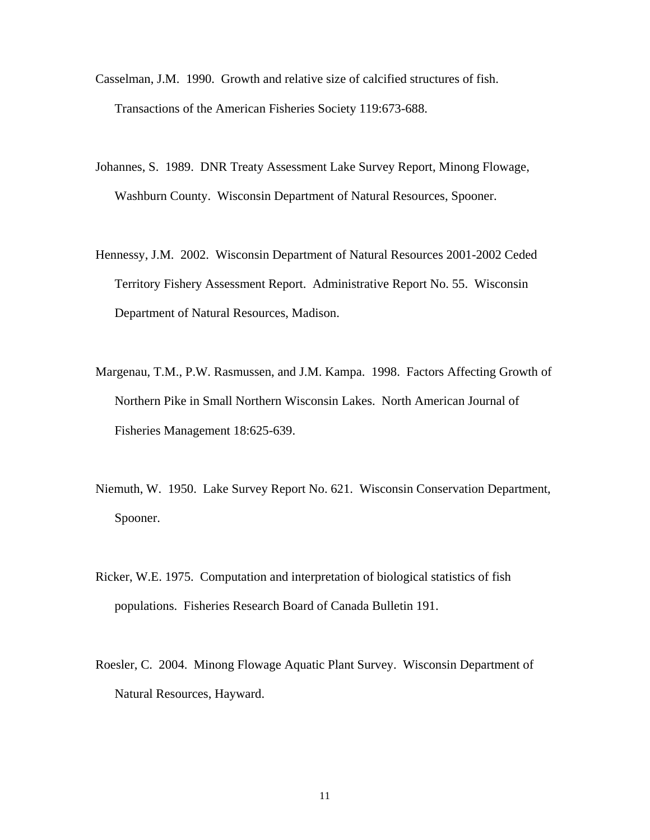- Casselman, J.M. 1990. Growth and relative size of calcified structures of fish. Transactions of the American Fisheries Society 119:673-688.
- Johannes, S. 1989. DNR Treaty Assessment Lake Survey Report, Minong Flowage, Washburn County. Wisconsin Department of Natural Resources, Spooner.
- Hennessy, J.M. 2002. Wisconsin Department of Natural Resources 2001-2002 Ceded Territory Fishery Assessment Report. Administrative Report No. 55. Wisconsin Department of Natural Resources, Madison.
- Margenau, T.M., P.W. Rasmussen, and J.M. Kampa. 1998. Factors Affecting Growth of Northern Pike in Small Northern Wisconsin Lakes. North American Journal of Fisheries Management 18:625-639.
- Niemuth, W. 1950. Lake Survey Report No. 621. Wisconsin Conservation Department, Spooner.
- Ricker, W.E. 1975. Computation and interpretation of biological statistics of fish populations. Fisheries Research Board of Canada Bulletin 191.
- Roesler, C. 2004. Minong Flowage Aquatic Plant Survey. Wisconsin Department of Natural Resources, Hayward.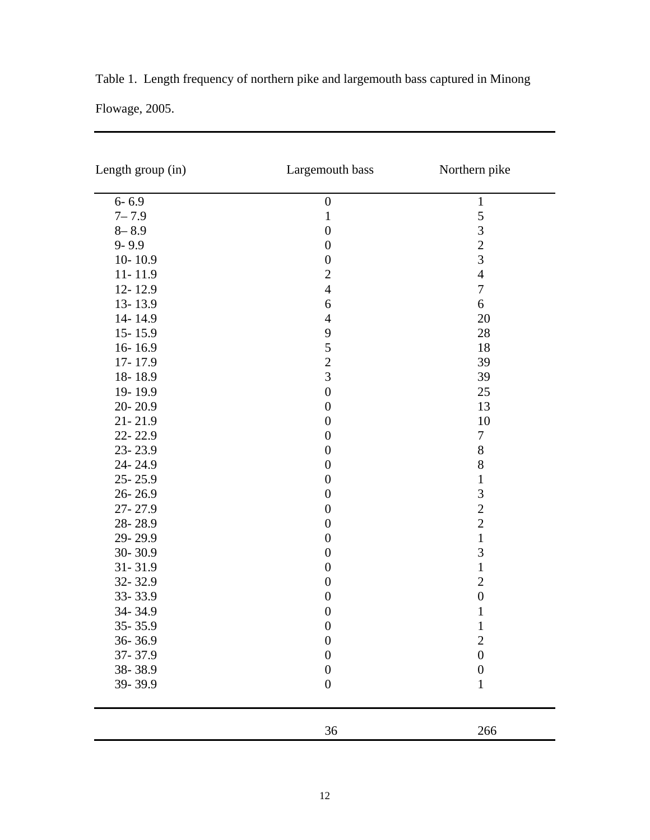|                | Table 1. Length frequency of northern pike and largemouth bass captured in Minong |
|----------------|-----------------------------------------------------------------------------------|
| Flowage, 2005. |                                                                                   |

| Length group (in) | Largemouth bass  | Northern pike    |
|-------------------|------------------|------------------|
| $6 - 6.9$         | $\boldsymbol{0}$ | $\mathbf{1}$     |
| $7 - 7.9$         | $\mathbf{1}$     | 5                |
| $8 - 8.9$         | $\boldsymbol{0}$ | 3                |
| $9 - 9.9$         | $\boldsymbol{0}$ | $\overline{c}$   |
| $10 - 10.9$       | $\boldsymbol{0}$ | $\overline{3}$   |
| $11 - 11.9$       | $\overline{2}$   | $\overline{4}$   |
| 12-12.9           | $\overline{4}$   | $\boldsymbol{7}$ |
| 13-13.9           | $\boldsymbol{6}$ | 6                |
| 14-14.9           | $\overline{4}$   | 20               |
| $15 - 15.9$       | 9                | 28               |
| $16 - 16.9$       | 5                | 18               |
| 17-17.9           | $\overline{c}$   | 39               |
| 18-18.9           | $\overline{3}$   | 39               |
| 19-19.9           | $\boldsymbol{0}$ | 25               |
| 20-20.9           | $\boldsymbol{0}$ | 13               |
| $21 - 21.9$       | $\boldsymbol{0}$ | 10               |
| 22-22.9           | $\boldsymbol{0}$ | $\boldsymbol{7}$ |
| 23-23.9           | $\boldsymbol{0}$ | $8\,$            |
| 24-24.9           | $\boldsymbol{0}$ | 8                |
| 25-25.9           | $\boldsymbol{0}$ | $\mathbf 1$      |
| 26-26.9           | $\boldsymbol{0}$ | 3                |
| 27-27.9           | $\boldsymbol{0}$ | $\overline{c}$   |
| 28-28.9           | $\boldsymbol{0}$ | $\overline{2}$   |
| 29-29.9           | $\boldsymbol{0}$ | $\,1\,$          |
| 30-30.9           | $\boldsymbol{0}$ | 3                |
| $31 - 31.9$       | $\boldsymbol{0}$ | $\mathbf 1$      |
| 32-32.9           | $\boldsymbol{0}$ | $\overline{2}$   |
| 33-33.9           | $\boldsymbol{0}$ | $\boldsymbol{0}$ |
| 34-34.9           | $\boldsymbol{0}$ | $\,1\,$          |
| $35 - 35.9$       | $\boldsymbol{0}$ | $\mathbf{1}$     |
| 36-36.9           | $\boldsymbol{0}$ | $\overline{c}$   |
| 37-37.9           | $\boldsymbol{0}$ | $\overline{0}$   |
| 38-38.9           | $\boldsymbol{0}$ | $\boldsymbol{0}$ |
| 39-39.9           | $\boldsymbol{0}$ | $\mathbf 1$      |
|                   | 36               | 266              |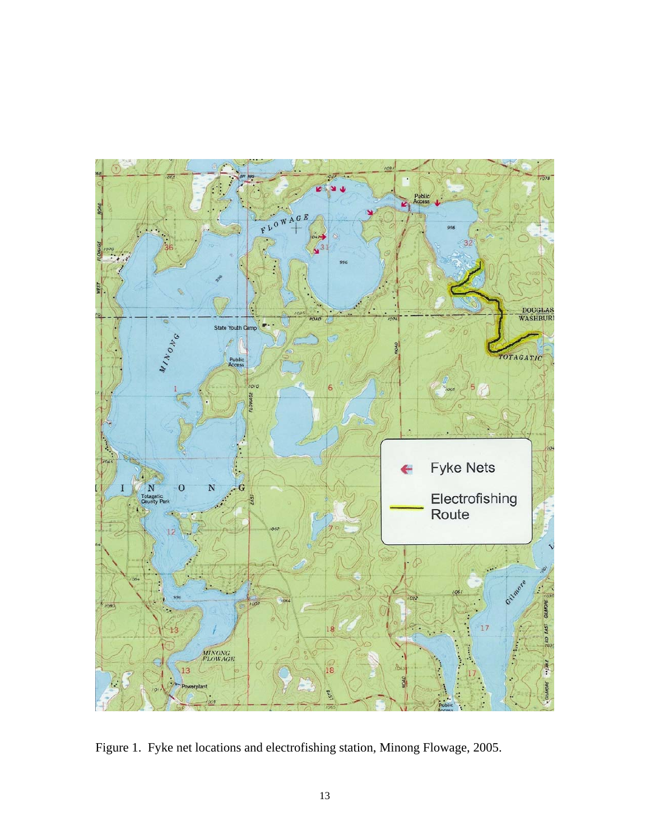

Figure 1. Fyke net locations and electrofishing station, Minong Flowage, 2005.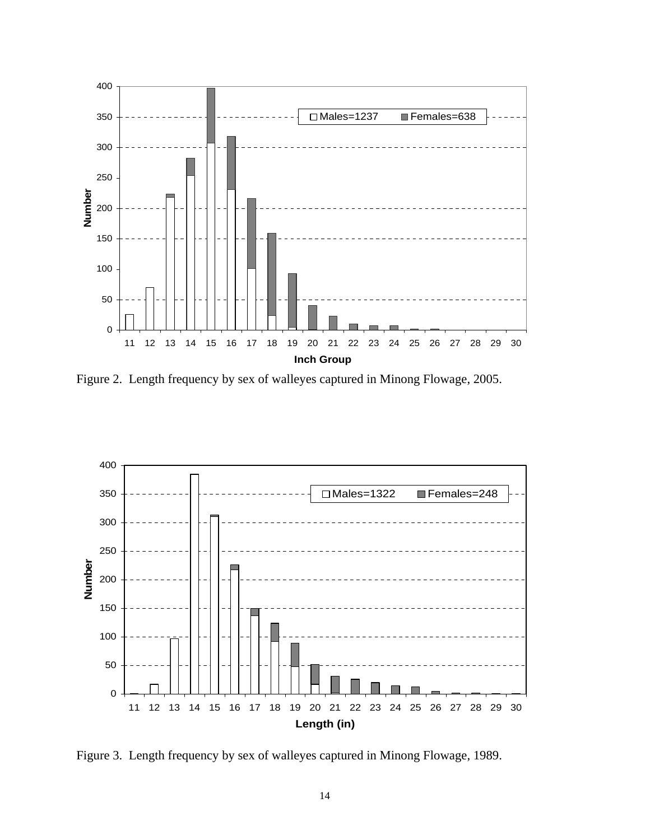

Figure 2. Length frequency by sex of walleyes captured in Minong Flowage, 2005.



Figure 3. Length frequency by sex of walleyes captured in Minong Flowage, 1989.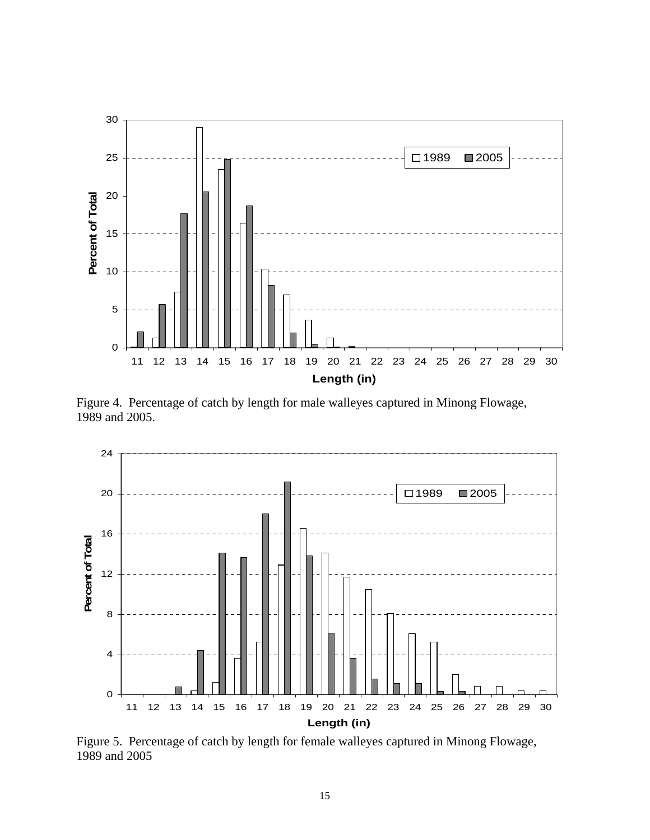

Figure 4. Percentage of catch by length for male walleyes captured in Minong Flowage, 1989 and 2005.



Figure 5. Percentage of catch by length for female walleyes captured in Minong Flowage, 1989 and 2005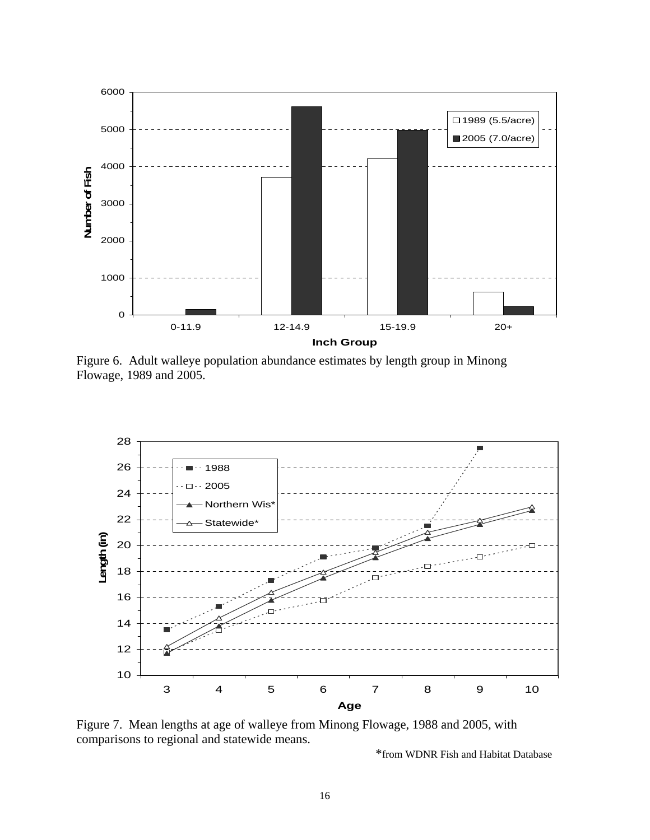

Figure 6. Adult walleye population abundance estimates by length group in Minong Flowage, 1989 and 2005.



Figure 7. Mean lengths at age of walleye from Minong Flowage, 1988 and 2005, with comparisons to regional and statewide means.

\*from WDNR Fish and Habitat Database